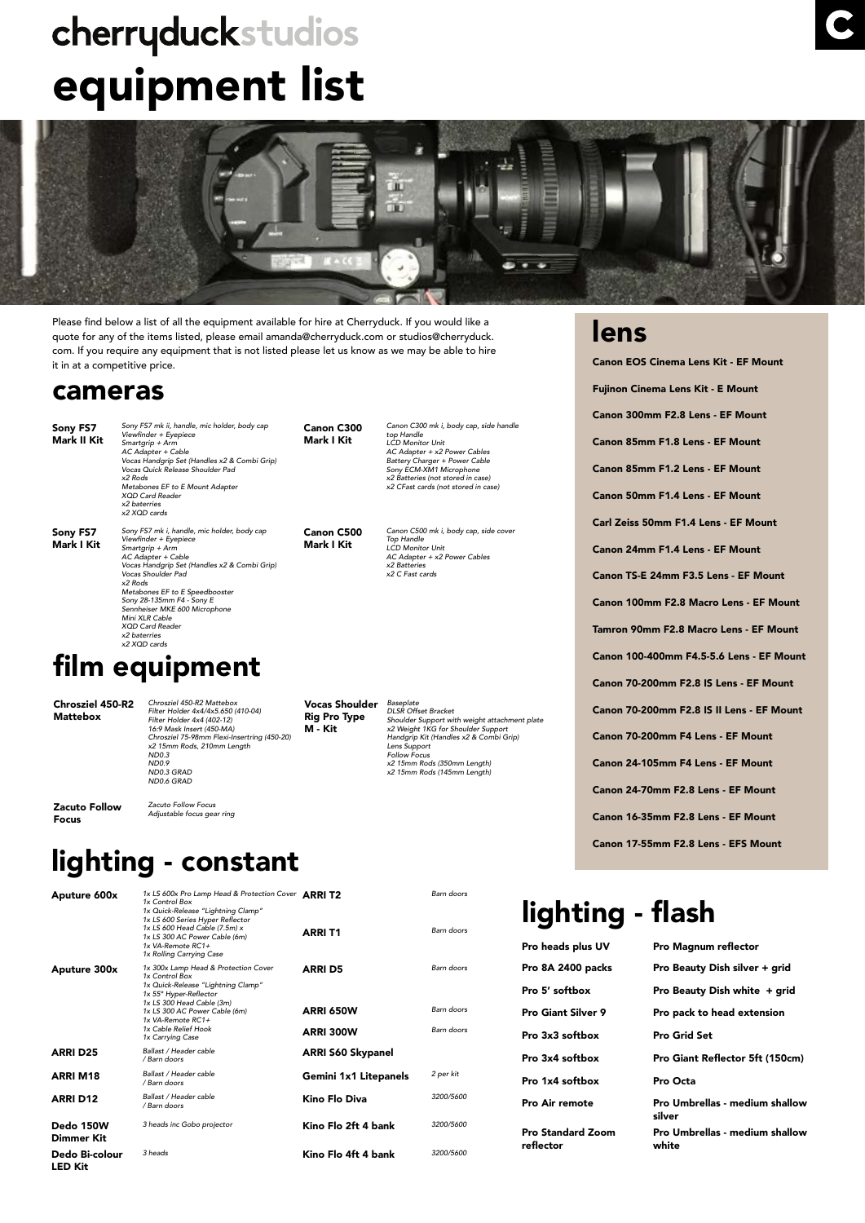# cherryduckstudios equipment list



Please find below a list of all the equipment available for hire at Cherryduck. If you would like a quote for any of the items listed, please email amanda@cherryduck.com or studios@cherryduck. com. If you require any equipment that is not listed please let us know as we may be able to hire it in at a competitive price.

#### cameras

Sony FS7 Mark II Kit *Sony FS7 mk ii, handle, mic holder, body cap* Viewfinder + Eyepiece Smartgrip + Arm AC Adapter + Cable Vocas Handgrip Set (Handles x2 & Combi Grip) *Vocas Quick Release Shoulder Pad x2 Rods* Metabones EF to E Mount Adapter XOD Card Reade *x2 baterries x2 XQD cards*

Sony FS7 Mark I Kit *Sony FS7 mk i, handle, mic holder, body cap* Viewfinder + Eyepiece Smartgrip + Arm AC Adapter + Cable Vocas Handgrip Set (Handles x2 & Combi Grip) *Vocas Shoulder Pad x2 Rods* Metabones EF to E Speedbooster Sony 28-135mm F4 - Sony E Sennheiser MKE 600 Microphone Mini XI R Cable XQD Card Reader *x2 baterries x2 XQD cards*

#### Canon C300 Mark I Kit

Canon C500 Mark I Kit

Canon C500 mk i, body cap, side cover *Top Handle* LCD Monitor Unit AC Adapter + x2 Power Cables *x2 Batteries*  x2 C Fast cards

Canon C300 mk i, body cap, side handle *top Handle* LCD Monitor Unit AC Adapter + x2 Power Cables Battery Charger + Power Cable Sony ECM-XM1 Microphone x2 Batteries (not stored in case) x2 CFast cards (not stored in case)

film equipment Chrosziel 450-R2 Mattebox Chrosziel 450-R2 Mattebox Filter Holder 4x4/4x5.650 (410-04) Filter Holder 4x4 (402-12) 16:9 Mask Insert (450-MA) Chrosziel 75-98mm Flexi-Insertring (450-20) x2 15mm Rods, 210mm Length ND0.3 Vocas Shoulder Rig Pro Type M - Kit

*Baseplate DLSR Offset Bracket Shoulder Support with weight attachment plate* x2 Weight 1KG for Shoulder Support Handgrip Kit (Handles x2 & Combi Grip) *Lens Support Follow Focus* x2 15mm Rods (350mm Length) x2 15mm Rods (145mm Length)

Zacuto Follow Focus

LED Kit

*Zacuto Follow Focus* Adjustable focus gear ring

# lighting - constant

ND0.9 ND0.3 GRAD ND0.6 GRAD

| Aputure 600x            | 1x LS 600x Pro Lamp Head & Protection Cover ARRIT2<br>1x Control Box<br>1x Quick-Release "Lightning Clamp"<br>1x LS 600 Series Hyper Reflector<br>1x LS 600 Head Cable (7.5m) x<br>1x LS 300 AC Power Cable (6m)<br>$1x$ VA-Remote $RC1+$<br>1x Rolling Carrying Case | ARRI T1                                  | Barn doors<br>Barn doors               |
|-------------------------|-----------------------------------------------------------------------------------------------------------------------------------------------------------------------------------------------------------------------------------------------------------------------|------------------------------------------|----------------------------------------|
| Aputure 300x            | 1x 300x Lamp Head & Protection Cover<br>1x Control Box<br>1x Quick-Release "Lightning Clamp"<br>1x 55° Hyper-Reflector<br>1x LS 300 Head Cable (3m)<br>1x LS 300 AC Power Cable (6m)<br>$1x$ VA-Remote $RC1+$<br>1x Cable Relief Hook<br>1x Carrying Case             | <b>ARRI D5</b><br>ARRI 650W<br>ARRI 300W | Barn doors<br>Barn doors<br>Barn doors |
| <b>ARRI D25</b>         | Ballast / Header cable<br>/ Barn doors                                                                                                                                                                                                                                | ARRI S60 Skypanel                        |                                        |
| <b>ARRIM18</b>          | Ballast / Header cable<br>/ Barn doors                                                                                                                                                                                                                                | Gemini 1x1 Litepanels                    | 2 per kit                              |
| <b>ARRI D12</b>         | Ballast / Header cable<br>/ Barn doors                                                                                                                                                                                                                                | Kino Flo Diva                            | 3200/5600                              |
| Dedo 150W<br>Dimmer Kit | 3 heads inc Gobo projector                                                                                                                                                                                                                                            | Kino Flo 2ft 4 bank                      | 3200/5600                              |
| Dedo Bi-colour          | 3 heads                                                                                                                                                                                                                                                               | Kino Flo 4ft 4 bank                      | 3200/5600                              |

#### Canon 24-70mm F2.8 Lens - EF Mount Canon 16-35mm F2.8 Lens - EF Mount Canon 17-55mm F2.8 Lens - EFS Mount lighting - flash Pro heads plus UV Pro Magnum reflector Pro 8A 2400 packs Pro Beauty Dish silver + grid Pro 5' softbox Pro Beauty Dish white + grid

Pro Standard Zoom reflector

Pro Giant Silver 9 Pro pack to head extension Pro 3x3 softbox Pro Grid Set Pro 3x4 softbox Pro Giant Reflector 5ft (150cm) Pro 1x4 softbox Pro Octa Pro Air remote Pro Umbrellas - medium shallow silver Pro Umbrellas - medium shallow white

#### lens

Canon EOS Cinema Lens Kit - EF Mount Fujinon Cinema Lens Kit - E Mount Canon 300mm F2.8 Lens - EF Mount Canon 85mm F1.8 Lens - EF Mount Canon 85mm F1.2 Lens - EF Mount Canon 50mm F1.4 Lens - EF Mount Carl Zeiss 50mm F1.4 Lens - EF Mount Canon 24mm F1.4 Lens - EF Mount Canon TS-E 24mm F3.5 Lens - EF Mount Canon 100mm F2.8 Macro Lens - EF Mount Tamron 90mm F2.8 Macro Lens - EF Mount Canon 100-400mm F4.5-5.6 Lens - EF Mount Canon 70-200mm F2.8 IS Lens - EF Mount Canon 70-200mm F2.8 IS II Lens - EF Mount Canon 70-200mm F4 Lens - EF Mount Canon 24-105mm F4 Lens - EF Mount